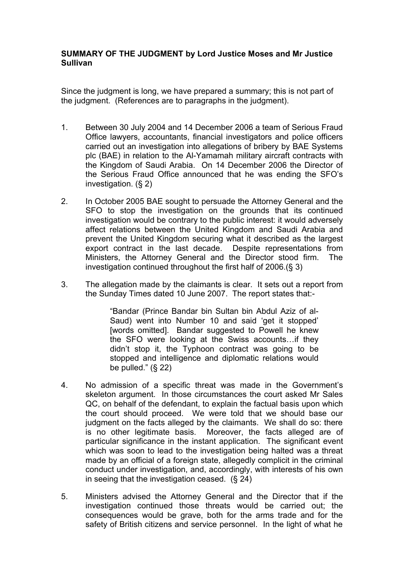## **SUMMARY OF THE JUDGMENT by Lord Justice Moses and Mr Justice Sullivan**

Since the judgment is long, we have prepared a summary; this is not part of the judgment. (References are to paragraphs in the judgment).

- 1. Between 30 July 2004 and 14 December 2006 a team of Serious Fraud Office lawyers, accountants, financial investigators and police officers carried out an investigation into allegations of bribery by BAE Systems plc (BAE) in relation to the Al-Yamamah military aircraft contracts with the Kingdom of Saudi Arabia. On 14 December 2006 the Director of the Serious Fraud Office announced that he was ending the SFO's investigation. (§ 2)
- 2. In October 2005 BAE sought to persuade the Attorney General and the SFO to stop the investigation on the grounds that its continued investigation would be contrary to the public interest: it would adversely affect relations between the United Kingdom and Saudi Arabia and prevent the United Kingdom securing what it described as the largest export contract in the last decade. Despite representations from Ministers, the Attorney General and the Director stood firm. The investigation continued throughout the first half of 2006.(§ 3)
- 3. The allegation made by the claimants is clear. It sets out a report from the Sunday Times dated 10 June 2007. The report states that:-

"Bandar (Prince Bandar bin Sultan bin Abdul Aziz of al-Saud) went into Number 10 and said 'get it stopped' [words omitted]. Bandar suggested to Powell he knew the SFO were looking at the Swiss accounts…if they didn't stop it, the Typhoon contract was going to be stopped and intelligence and diplomatic relations would be pulled."  $(S, 22)$ 

- 4. No admission of a specific threat was made in the Government's skeleton argument. In those circumstances the court asked Mr Sales QC, on behalf of the defendant, to explain the factual basis upon which the court should proceed. We were told that we should base our judgment on the facts alleged by the claimants. We shall do so: there is no other legitimate basis. Moreover, the facts alleged are of particular significance in the instant application. The significant event which was soon to lead to the investigation being halted was a threat made by an official of a foreign state, allegedly complicit in the criminal conduct under investigation, and, accordingly, with interests of his own in seeing that the investigation ceased. (§ 24)
- 5. Ministers advised the Attorney General and the Director that if the investigation continued those threats would be carried out; the consequences would be grave, both for the arms trade and for the safety of British citizens and service personnel. In the light of what he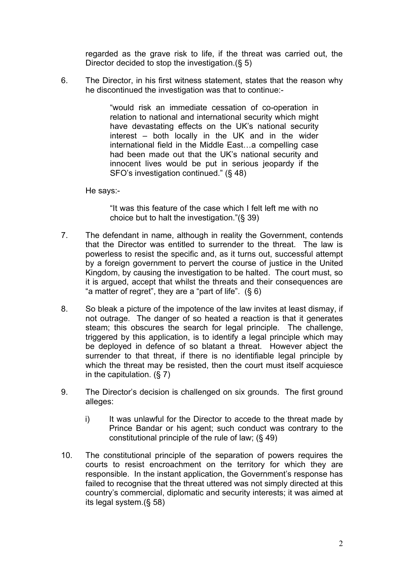regarded as the grave risk to life, if the threat was carried out, the Director decided to stop the investigation.(§ 5)

6. The Director, in his first witness statement, states that the reason why he discontinued the investigation was that to continue:-

> "would risk an immediate cessation of co-operation in relation to national and international security which might have devastating effects on the UK's national security interest – both locally in the UK and in the wider international field in the Middle East…a compelling case had been made out that the UK's national security and innocent lives would be put in serious jeopardy if the SFO's investigation continued." (§ 48)

He says:-

"It was this feature of the case which I felt left me with no choice but to halt the investigation."(§ 39)

- 7. The defendant in name, although in reality the Government, contends that the Director was entitled to surrender to the threat. The law is powerless to resist the specific and, as it turns out, successful attempt by a foreign government to pervert the course of justice in the United Kingdom, by causing the investigation to be halted. The court must, so it is argued, accept that whilst the threats and their consequences are "a matter of regret", they are a "part of life".  $(§ 6)$
- 8. So bleak a picture of the impotence of the law invites at least dismay, if not outrage. The danger of so heated a reaction is that it generates steam; this obscures the search for legal principle. The challenge, triggered by this application, is to identify a legal principle which may be deployed in defence of so blatant a threat. However abject the surrender to that threat, if there is no identifiable legal principle by which the threat may be resisted, then the court must itself acquiesce in the capitulation.  $(\S 7)$
- 9. The Director's decision is challenged on six grounds. The first ground alleges:
	- i) It was unlawful for the Director to accede to the threat made by Prince Bandar or his agent; such conduct was contrary to the constitutional principle of the rule of law; (§ 49)
- 10. The constitutional principle of the separation of powers requires the courts to resist encroachment on the territory for which they are responsible. In the instant application, the Government's response has failed to recognise that the threat uttered was not simply directed at this country's commercial, diplomatic and security interests; it was aimed at its legal system.(§ 58)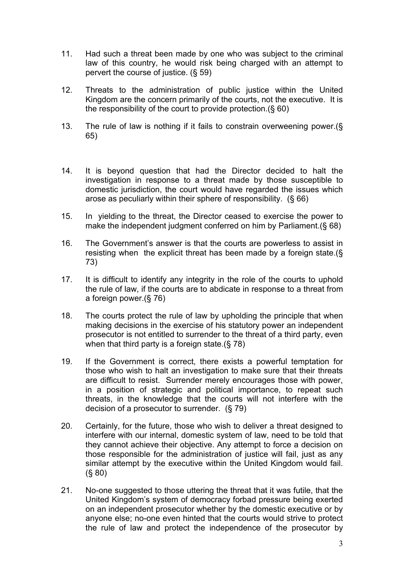- 11. Had such a threat been made by one who was subject to the criminal law of this country, he would risk being charged with an attempt to pervert the course of justice. (§ 59)
- 12. Threats to the administration of public justice within the United Kingdom are the concern primarily of the courts, not the executive. It is the responsibility of the court to provide protection.(§ 60)
- 13. The rule of law is nothing if it fails to constrain overweening power.(§ 65)
- 14. It is beyond question that had the Director decided to halt the investigation in response to a threat made by those susceptible to domestic jurisdiction, the court would have regarded the issues which arose as peculiarly within their sphere of responsibility. (§ 66)
- 15. In yielding to the threat, the Director ceased to exercise the power to make the independent judgment conferred on him by Parliament.(§ 68)
- 16. The Government's answer is that the courts are powerless to assist in resisting when the explicit threat has been made by a foreign state.(§ 73)
- 17. It is difficult to identify any integrity in the role of the courts to uphold the rule of law, if the courts are to abdicate in response to a threat from a foreign power.(§ 76)
- 18. The courts protect the rule of law by upholding the principle that when making decisions in the exercise of his statutory power an independent prosecutor is not entitled to surrender to the threat of a third party, even when that third party is a foreign state.(§ 78)
- 19. If the Government is correct, there exists a powerful temptation for those who wish to halt an investigation to make sure that their threats are difficult to resist. Surrender merely encourages those with power, in a position of strategic and political importance, to repeat such threats, in the knowledge that the courts will not interfere with the decision of a prosecutor to surrender. (§ 79)
- 20. Certainly, for the future, those who wish to deliver a threat designed to interfere with our internal, domestic system of law, need to be told that they cannot achieve their objective. Any attempt to force a decision on those responsible for the administration of justice will fail, just as any similar attempt by the executive within the United Kingdom would fail. (§ 80)
- 21. No-one suggested to those uttering the threat that it was futile, that the United Kingdom's system of democracy forbad pressure being exerted on an independent prosecutor whether by the domestic executive or by anyone else; no-one even hinted that the courts would strive to protect the rule of law and protect the independence of the prosecutor by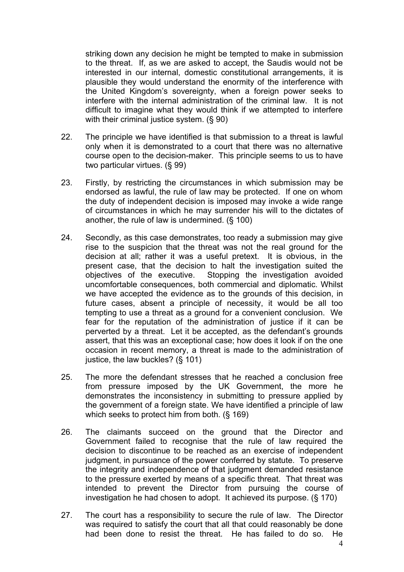striking down any decision he might be tempted to make in submission to the threat. If, as we are asked to accept, the Saudis would not be interested in our internal, domestic constitutional arrangements, it is plausible they would understand the enormity of the interference with the United Kingdom's sovereignty, when a foreign power seeks to interfere with the internal administration of the criminal law. It is not difficult to imagine what they would think if we attempted to interfere with their criminal justice system. (§ 90)

- 22. The principle we have identified is that submission to a threat is lawful only when it is demonstrated to a court that there was no alternative course open to the decision-maker. This principle seems to us to have two particular virtues. (§ 99)
- 23. Firstly, by restricting the circumstances in which submission may be endorsed as lawful, the rule of law may be protected. If one on whom the duty of independent decision is imposed may invoke a wide range of circumstances in which he may surrender his will to the dictates of another, the rule of law is undermined. (§ 100)
- 24. Secondly, as this case demonstrates, too ready a submission may give rise to the suspicion that the threat was not the real ground for the decision at all; rather it was a useful pretext. It is obvious, in the present case, that the decision to halt the investigation suited the objectives of the executive. Stopping the investigation avoided uncomfortable consequences, both commercial and diplomatic. Whilst we have accepted the evidence as to the grounds of this decision, in future cases, absent a principle of necessity, it would be all too tempting to use a threat as a ground for a convenient conclusion. We fear for the reputation of the administration of justice if it can be perverted by a threat. Let it be accepted, as the defendant's grounds assert, that this was an exceptional case; how does it look if on the one occasion in recent memory, a threat is made to the administration of justice, the law buckles? (§ 101)
- 25. The more the defendant stresses that he reached a conclusion free from pressure imposed by the UK Government, the more he demonstrates the inconsistency in submitting to pressure applied by the government of a foreign state. We have identified a principle of law which seeks to protect him from both. (§ 169)
- 26. The claimants succeed on the ground that the Director and Government failed to recognise that the rule of law required the decision to discontinue to be reached as an exercise of independent judgment, in pursuance of the power conferred by statute. To preserve the integrity and independence of that judgment demanded resistance to the pressure exerted by means of a specific threat. That threat was intended to prevent the Director from pursuing the course of investigation he had chosen to adopt. It achieved its purpose. (§ 170)
- 27. The court has a responsibility to secure the rule of law. The Director was required to satisfy the court that all that could reasonably be done had been done to resist the threat. He has failed to do so. He